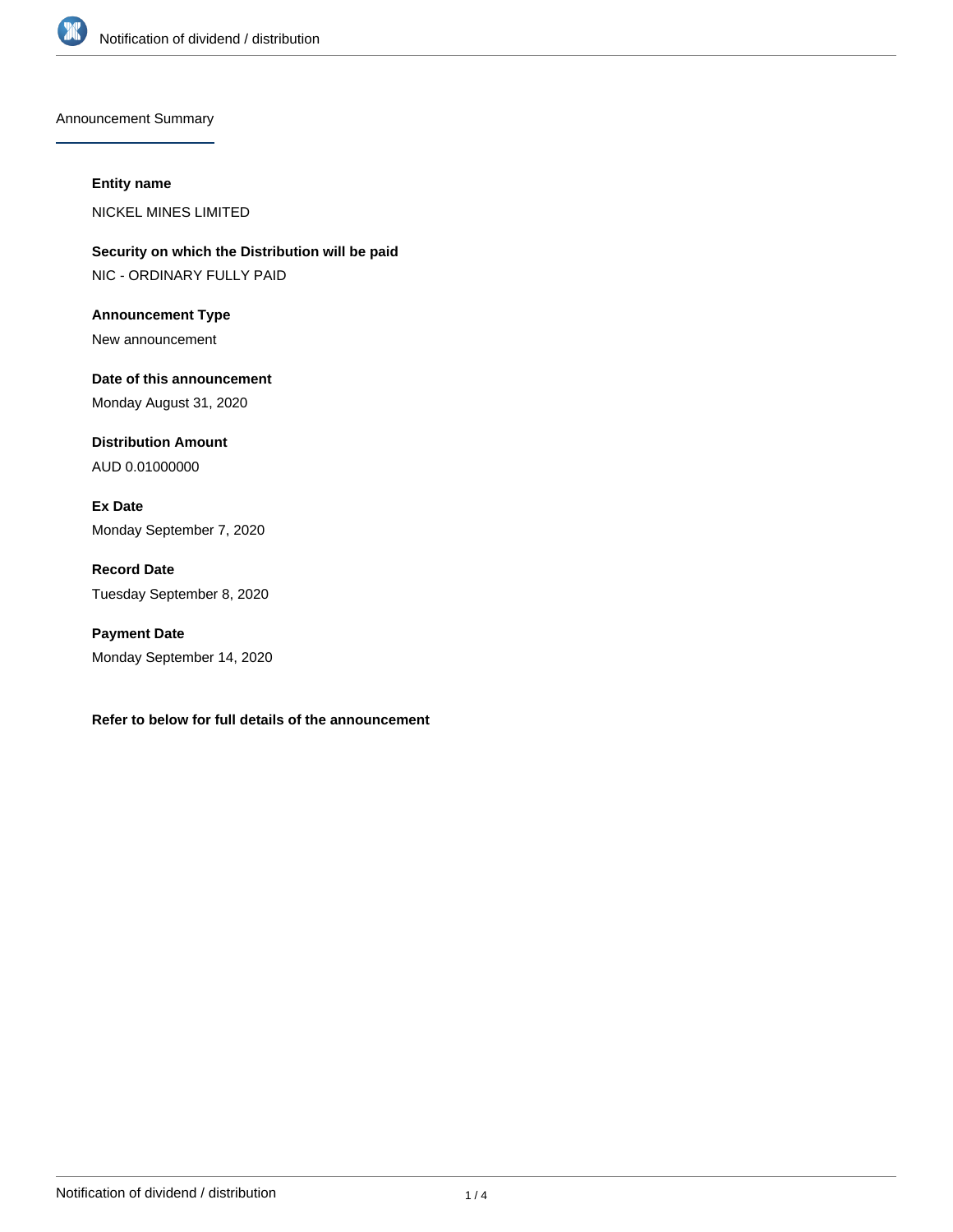

Announcement Summary

#### **Entity name**

NICKEL MINES LIMITED

**Security on which the Distribution will be paid** NIC - ORDINARY FULLY PAID

**Announcement Type** New announcement

**Date of this announcement** Monday August 31, 2020

**Distribution Amount** AUD 0.01000000

**Ex Date** Monday September 7, 2020

**Record Date** Tuesday September 8, 2020

**Payment Date** Monday September 14, 2020

**Refer to below for full details of the announcement**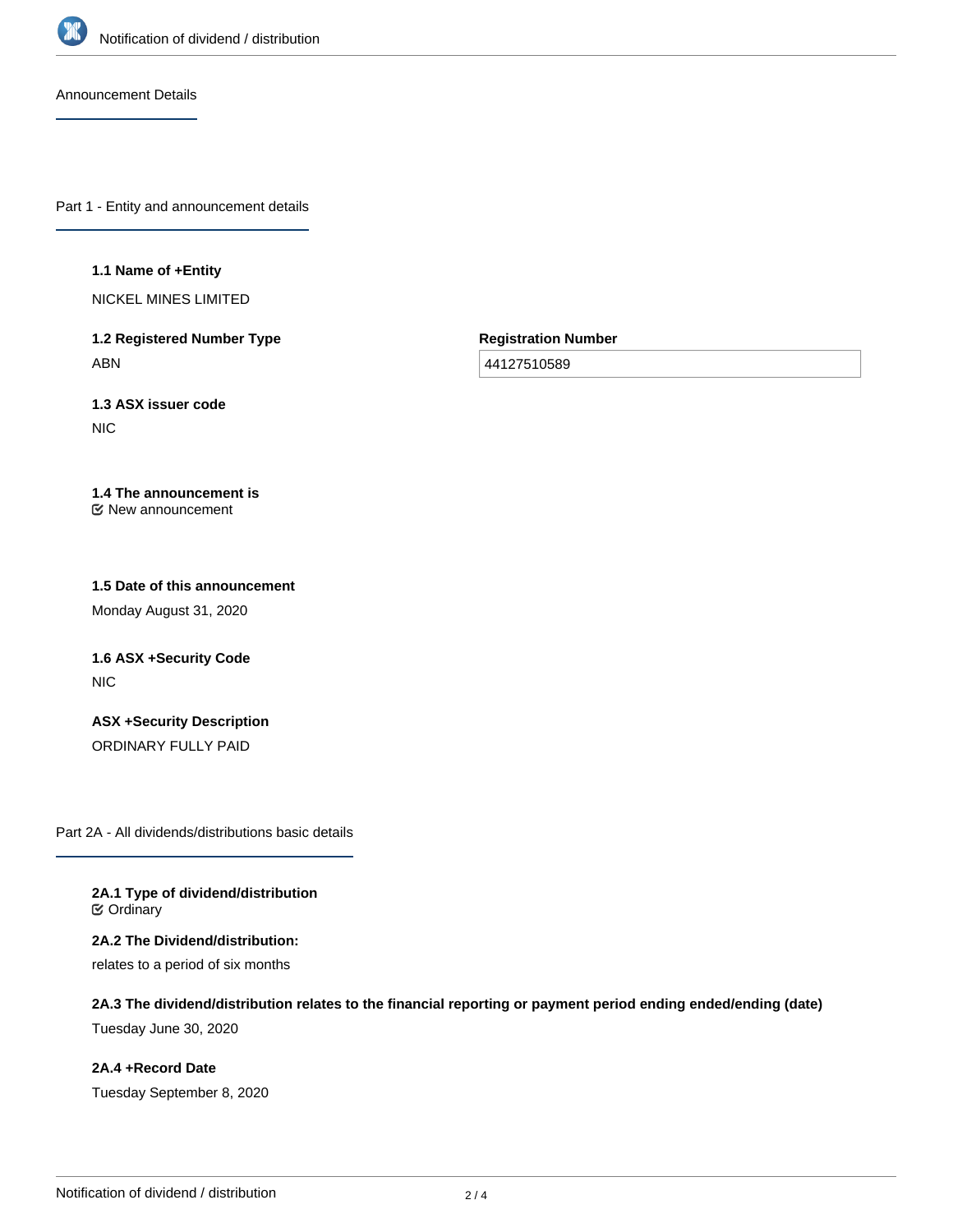

Announcement Details

Part 1 - Entity and announcement details

#### **1.1 Name of +Entity**

NICKEL MINES LIMITED

**1.2 Registered Number Type** ABN

**Registration Number**

44127510589

**1.3 ASX issuer code NIC** 

#### **1.4 The announcement is** New announcement

# **1.5 Date of this announcement**

Monday August 31, 2020

# **1.6 ASX +Security Code** NIC

**ASX +Security Description** ORDINARY FULLY PAID

Part 2A - All dividends/distributions basic details

**2A.1 Type of dividend/distribution ⊘** Ordinary

**2A.2 The Dividend/distribution:** relates to a period of six months

**2A.3 The dividend/distribution relates to the financial reporting or payment period ending ended/ending (date)**

Tuesday June 30, 2020

**2A.4 +Record Date** Tuesday September 8, 2020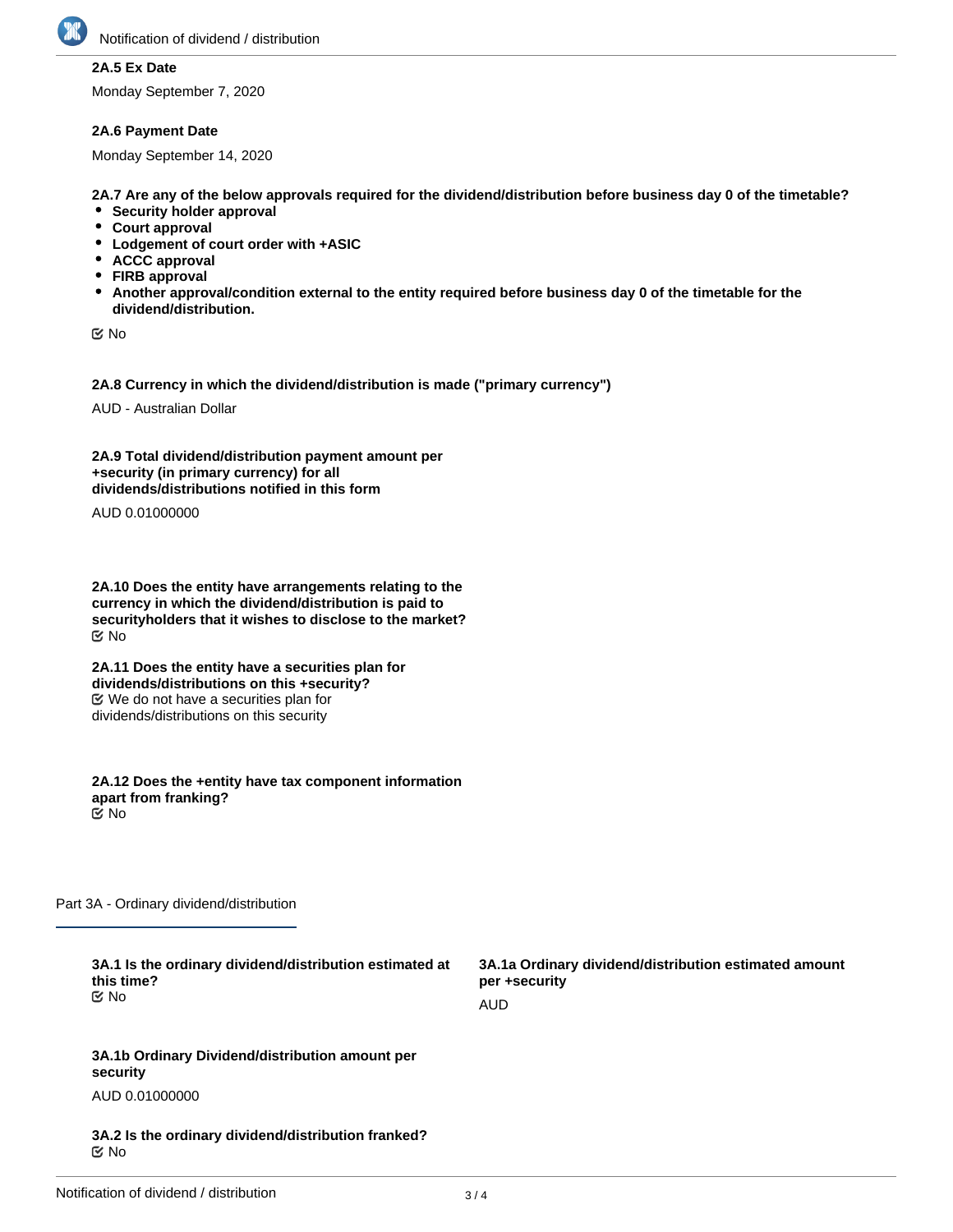

# **2A.5 Ex Date**

Monday September 7, 2020

#### **2A.6 Payment Date**

Monday September 14, 2020

**2A.7 Are any of the below approvals required for the dividend/distribution before business day 0 of the timetable?**

- **•** Security holder approval
- **Court approval**
- **Lodgement of court order with +ASIC**
- **ACCC approval**
- **FIRB approval**
- **Another approval/condition external to the entity required before business day 0 of the timetable for the dividend/distribution.**

No

**2A.8 Currency in which the dividend/distribution is made ("primary currency")**

AUD - Australian Dollar

**2A.9 Total dividend/distribution payment amount per +security (in primary currency) for all dividends/distributions notified in this form**

AUD 0.01000000

**2A.10 Does the entity have arrangements relating to the currency in which the dividend/distribution is paid to securityholders that it wishes to disclose to the market?** No

**2A.11 Does the entity have a securities plan for dividends/distributions on this +security?** We do not have a securities plan for dividends/distributions on this security

**2A.12 Does the +entity have tax component information apart from franking?** No

Part 3A - Ordinary dividend/distribution

**3A.1 Is the ordinary dividend/distribution estimated at this time?** No

**3A.1a Ordinary dividend/distribution estimated amount per +security** AUD

**3A.1b Ordinary Dividend/distribution amount per security** AUD 0.01000000

**3A.2 Is the ordinary dividend/distribution franked?** No